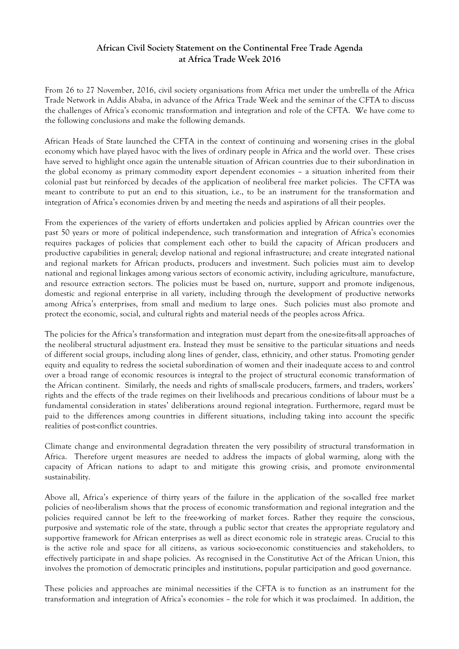## **African Civil Society Statement on the Continental Free Trade Agenda at Africa Trade Week 2016**

From 26 to 27 November, 2016, civil society organisations from Africa met under the umbrella of the Africa Trade Network in Addis Ababa, in advance of the Africa Trade Week and the seminar of the CFTA to discuss the challenges of Africa's economic transformation and integration and role of the CFTA. We have come to the following conclusions and make the following demands.

African Heads of State launched the CFTA in the context of continuing and worsening crises in the global economy which have played havoc with the lives of ordinary people in Africa and the world over. These crises have served to highlight once again the untenable situation of African countries due to their subordination in the global economy as primary commodity export dependent economies – a situation inherited from their colonial past but reinforced by decades of the application of neoliberal free market policies. The CFTA was meant to contribute to put an end to this situation, i.e., to be an instrument for the transformation and integration of Africa's economies driven by and meeting the needs and aspirations of all their peoples.

From the experiences of the variety of efforts undertaken and policies applied by African countries over the past 50 years or more of political independence, such transformation and integration of Africa's economies requires packages of policies that complement each other to build the capacity of African producers and productive capabilities in general; develop national and regional infrastructure; and create integrated national and regional markets for African products, producers and investment. Such policies must aim to develop national and regional linkages among various sectors of economic activity, including agriculture, manufacture, and resource extraction sectors. The policies must be based on, nurture, support and promote indigenous, domestic and regional enterprise in all variety, including through the development of productive networks among Africa's enterprises, from small and medium to large ones. Such policies must also promote and protect the economic, social, and cultural rights and material needs of the peoples across Africa.

The policies for the Africa's transformation and integration must depart from the one-size-fits-all approaches of the neoliberal structural adjustment era. Instead they must be sensitive to the particular situations and needs of different social groups, including along lines of gender, class, ethnicity, and other status. Promoting gender equity and equality to redress the societal subordination of women and their inadequate access to and control over a broad range of economic resources is integral to the project of structural economic transformation of the African continent. Similarly, the needs and rights of small-scale producers, farmers, and traders, workers' rights and the effects of the trade regimes on their livelihoods and precarious conditions of labour must be a fundamental consideration in states' deliberations around regional integration. Furthermore, regard must be paid to the differences among countries in different situations, including taking into account the specific realities of post-conflict countries.

Climate change and environmental degradation threaten the very possibility of structural transformation in Africa. Therefore urgent measures are needed to address the impacts of global warming, along with the capacity of African nations to adapt to and mitigate this growing crisis, and promote environmental sustainability.

Above all, Africa's experience of thirty years of the failure in the application of the so-called free market policies of neo-liberalism shows that the process of economic transformation and regional integration and the policies required cannot be left to the free-working of market forces. Rather they require the conscious, purposive and systematic role of the state, through a public sector that creates the appropriate regulatory and supportive framework for African enterprises as well as direct economic role in strategic areas. Crucial to this is the active role and space for all citizens, as various socio-economic constituencies and stakeholders, to effectively participate in and shape policies. As recognised in the Constitutive Act of the African Union, this involves the promotion of democratic principles and institutions, popular participation and good governance.

These policies and approaches are minimal necessities if the CFTA is to function as an instrument for the transformation and integration of Africa's economies – the role for which it was proclaimed. In addition, the